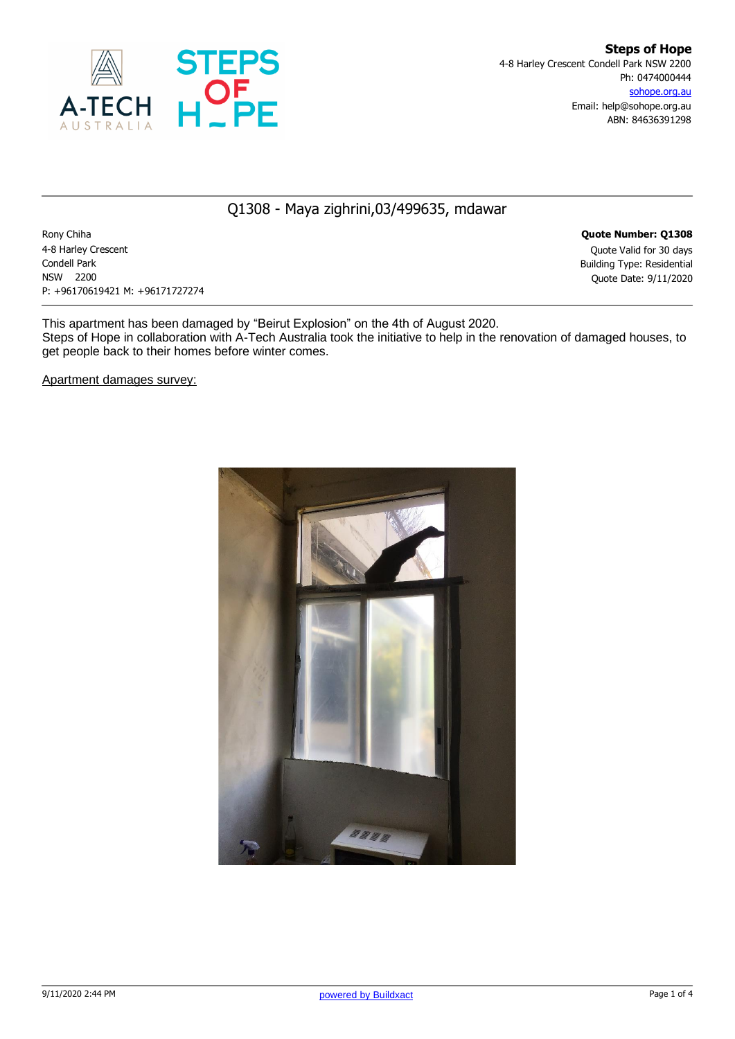

## Q1308 - Maya zighrini,03/499635, mdawar

Rony Chiha **Quote Number: Q1308** 4-8 Harley Crescent Quote Valid for 30 days Condell Park Building Type: Residential NSW 2200 Quote Date: 9/11/2020 P: +96170619421 M: +96171727274

This apartment has been damaged by "Beirut Explosion" on the 4th of August 2020. Steps of Hope in collaboration with A-Tech Australia took the initiative to help in the renovation of damaged houses, to get people back to their homes before winter comes.

Apartment damages survey:

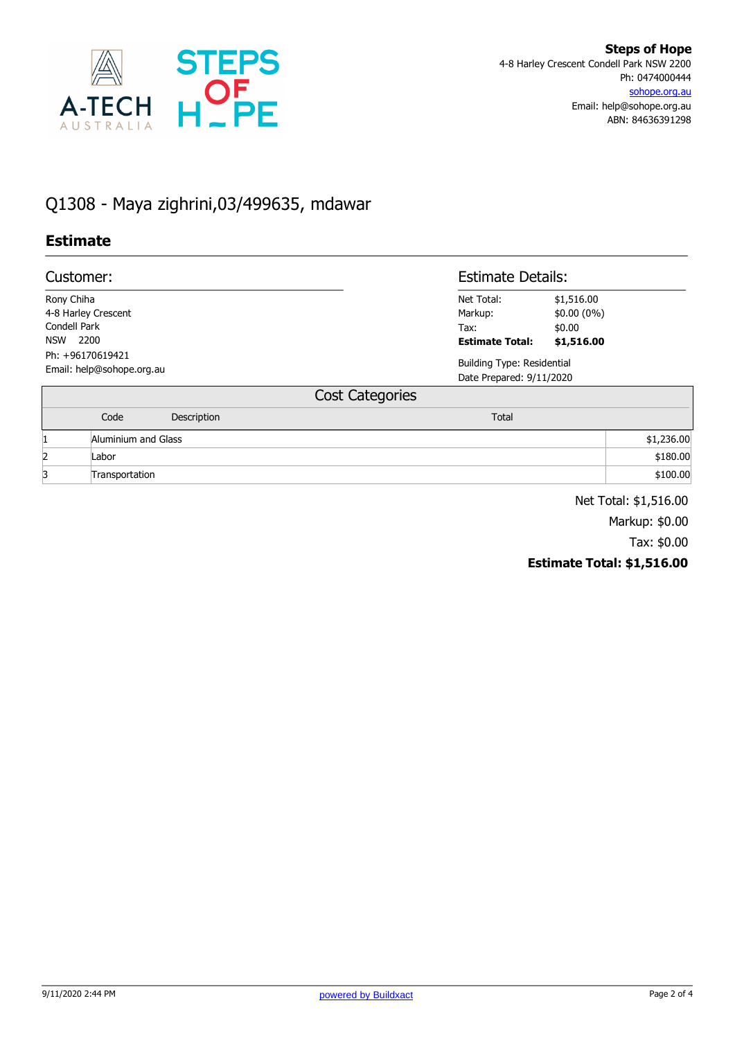

## Q1308 - Maya zighrini,03/499635, mdawar

## **Estimate**

| Customer:           |                                               |                    |                        | <b>Estimate Details:</b>                                      |              |            |
|---------------------|-----------------------------------------------|--------------------|------------------------|---------------------------------------------------------------|--------------|------------|
| Rony Chiha          |                                               |                    |                        | Net Total:                                                    | \$1,516.00   |            |
| 4-8 Harley Crescent |                                               |                    |                        | Markup:                                                       | $$0.00(0\%)$ |            |
| Condell Park        |                                               |                    |                        | Tax:                                                          | \$0.00       |            |
| NSW 2200            |                                               |                    |                        | <b>Estimate Total:</b>                                        | \$1,516.00   |            |
|                     | Ph: +96170619421<br>Email: help@sohope.org.au |                    |                        | <b>Building Type: Residential</b><br>Date Prepared: 9/11/2020 |              |            |
|                     |                                               |                    | <b>Cost Categories</b> |                                                               |              |            |
|                     | Code                                          | <b>Description</b> |                        | <b>Total</b>                                                  |              |            |
|                     | Aluminium and Glass                           |                    |                        |                                                               |              | \$1,236.00 |
| 2                   | Labor                                         |                    |                        |                                                               |              | \$180.00   |

a Transportation \$100.00

Net Total: \$1,516.00

Markup: \$0.00

Tax: \$0.00

**Estimate Total: \$1,516.00**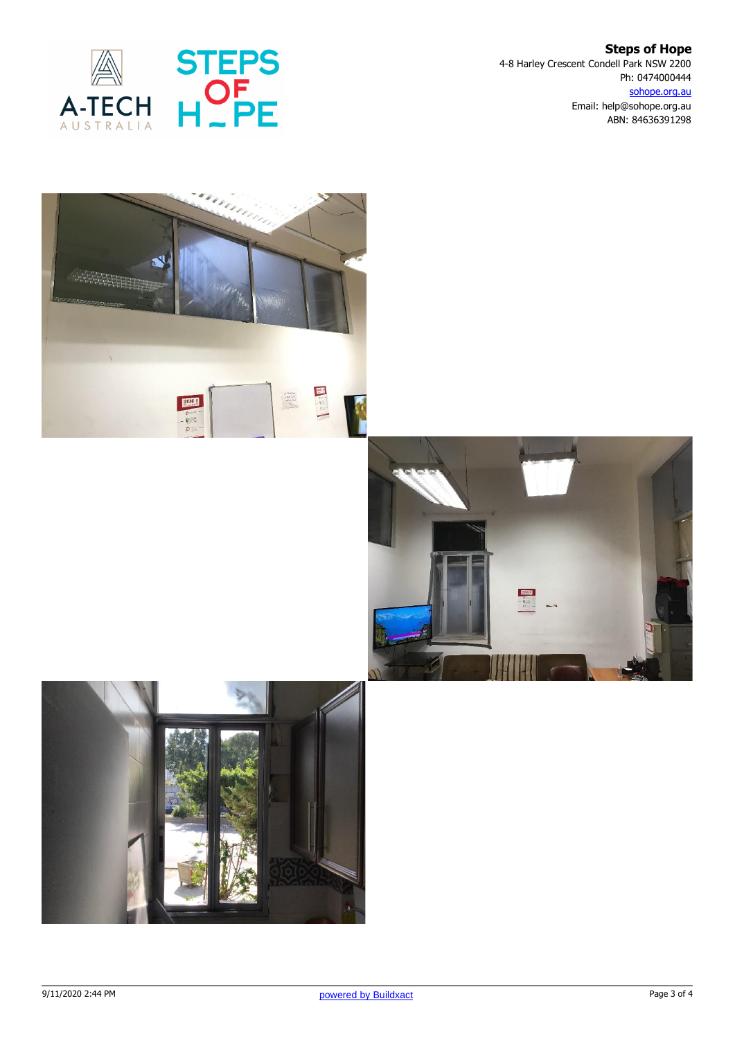

**Steps of Hope** 4-8 Harley Crescent Condell Park NSW 2200 Ph: 0474000444 sohope.org.au Email: help@sohope.org.au ABN: 84636391298